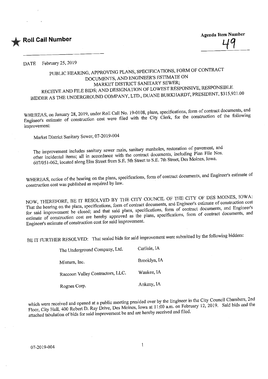

DATE February 25, 2019

## PUBLIC HEARING, APPROVING PLANS, SPECIFICATIONS, FORM OF CONTRACT MARKET DISTRICT SANITARY SEWER; RECEIVE AND FILE BIDS; AND DESIGNATION OF LOWEST RESPONSIVE, RESPONSIBLE. CEIVE AND FILE BIDS; AND DESIGNATION OF LOWER RESIDENT. \$315.921.  $BDER$  AS the UNDERGROUND COMPANY,  $2^{12}$ ,  $9^{13}$

HEREAS, on January 28, 2017, under Roll Call No. 1992. First, form of the construction of the following  $E_{\text{g}}$  estimate of construction cost were filed with the  $C_{\text{g}}$ improvement;

Market District Sanitary Sewer, 07-2019-004

The improvement includes sanitary sewer main, sanitary manholes, restoration of pavement, and other incidental items; all in accordance with the contract documents, including Plan File Nos. out incidental items; all in accordance with  $\sum_{n=1}^{\infty}$   $\sum_{n=1}^{\infty}$   $\sum_{n=1}^{\infty}$  Figure 1.  $\sum_{n=1}^{\infty}$   $\sum_{n=1}^{\infty}$   $\sum_{n=1}^{\infty}$   $\sum_{n=1}^{\infty}$   $\sum_{n=1}^{\infty}$   $\sum_{n=1}^{\infty}$   $\sum_{n=1}^{\infty}$   $\sum_{n=1}^{\infty}$   $(6051 - 062)$  located along Elm Street from Street to Street

WHEREAS, notice of the hearing on the plans, specifications, form of contract documents, and Engineer's estimate of construction cost was published as required by law.

OW, THEREFORE, BE IT RESOLVED BY THE CONTRACT documents, and Engineer's estimate of construction cost That the hearing on the plans, specifications, form of contract documents, and Engineer's estimate of contract documents, and Engineer's  $\frac{1}{2}$  said improvement be closed; and that same plans, specifications, form of contract documents, and timate of construction cost are hereby approximations,  $\frac{1}{2}$ Engineer's estimate of construction cost for said improvement.

BE IT FURTHER RESOLVED: That sealed bids for said improvement were submitted by the following bidders:

| The Underground Company, Ltd.    | Carlisle, IA |
|----------------------------------|--------------|
| Minturn, Inc.                    | Brooklyn, IA |
| Raccoon Valley Contractors, LLC. | Waukee, IA   |
| Rognes Corp.                     | Ankeny, IA   |

which were received and opened at a public meeting presided over by the Engineer in the City Council Chambers, 2nd Floor, City Hall, 400 Robert D. Ray Drive, Des Moines, Iowa at 11:00 a.m. on February 12, 2019. Said bids and the attached tabulation of bids for said improvement be and are hereby received and filed.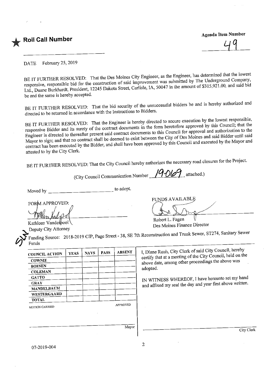## **Roll Call Number**

**Agenda Item Number** 

 $\frac{9}{1}$ 

DATE February 25, 2019

BE IT FURTHER RESOLVED: That the Des Moines City Engineer, as the Engineer, has determined that the lowest responsive, responsible bid for the construction of said improvement was submitted by The Underground Company, responsible bid for the construction of  $S<sub>1</sub>$  and said bid  $S<sub>1</sub>$  and  $S<sub>2</sub>$  and  $S<sub>1</sub>$  and  $S<sub>2</sub>$  and  $S<sub>1</sub>$  and  $S<sub>2</sub>$  and  $S<sub>2</sub>$  and  $S<sub>1</sub>$  and  $S<sub>2</sub>$  and  $S<sub>2</sub>$  and  $S<sub>1</sub>$  $L_{\rm t}$  Duane Burkhardt, President,  $L_{\rm 221}$  is balled street,  $L_{\rm 315}$ be and the same is hereby accepted.

BE IT FURTHER RESOLVED: That the bid security of the unsuccessful bidders be and is hereby authorized and

directed to be returned in accordance with the Instructions to Bidders.<br>BE IT FURTHER RESOLVED: That the Engineer is hereby directed to secure execution by the lowest responsible, IT FURTHER RESOLVED: That the  $\frac{1}{2}$  the engineer decuments in the form heretofore approved by this Council; that the ponsive Bidder and its surety of the contract documents to this Council for approval and authorization to the Engineer is directed to thereafter present said contract documents to this Council for approval and authorization to the yor to sign; and that no contract shall be deemed to deep approved by this Council and executed by the Mayor and contract has been executed by the Bidder, and shall have been approved by this Council and executed by the Mayor and attested to by the City Clerk.

BE IT FURTHER RESOLVED: That the City Council hereby authorizes the necessary road closures for the Project.

(City Council Communication Number attached.)

 $\sum_{i=1}^{n}$ 

Moved by \_ to adopt.

FORM APPROVED:

Robert L. Fagen Des Moines Finance Director

Fundamental available de la propriété de la propriété de la propriété de la propriété de la propriété de la pr

Kathleen Vanderbool<br>Deputy City Attorney

eputy City Attorney **Exercise Finance Property City Attorney**  $\overline{J}$  Funding Source: 2018-2019 CIP, Page Street - 38, SEP 7th Reconstruction and Trunk Sewer, Sewer, Sewer, Sewer, Sewer, Sewer, Sewer, Sewer, Sewer, Sewer, Sewer, Sewer, Sewer, Sewer, Sewer, Sewer, Sewer, Sewer, Sewe Funds

| <b>ABSENT</b>   | <b>PASS</b> | <b>NAYS</b> | <b>YEAS</b> | <b>COUNCIL ACTION</b> |
|-----------------|-------------|-------------|-------------|-----------------------|
|                 |             |             |             | <b>COWNIE</b>         |
|                 |             |             |             | <b>BOESEN</b>         |
|                 |             |             |             | <b>COLEMAN</b>        |
|                 |             |             |             | <b>GATTO</b>          |
|                 |             |             |             | <b>GRAY</b>           |
|                 |             |             |             | <b>MANDELBAUM</b>     |
|                 |             |             |             | WESTERGAARD           |
|                 |             |             |             | <b>TOTAL</b>          |
| <b>APPROVED</b> |             |             |             | MOTION CARRIED        |
|                 |             |             |             |                       |

I, Diane Rauh, City Clerk of said City Council, hereby  $\epsilon$  date among other proceedings the above was  $\Delta$ adopted.

Ind affixed my seal the day and year first above written. and affixed my seal the day and year first above written.

Mayor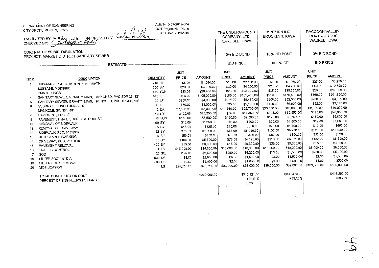DEPARTMENT OF ENGINEERING.......<br>IOT Project No: None CITY OF DES MOINES, IOWA**RACCOON VALLEY** السنة العربية بين الحرار.<br>IBid Date: 2/12/2019 THE UNDERGROUND MINTURN INC. Bid Date: 2/12/2019OOKLYN, IOW. CONTRACTORS COMPANY, LTD. TABULATED BY: $-$  fall ARLISLE, IOWA WAUKEE, IOWA HECKED BY: Wright CARLISLE, IOWACONTRACTOR'S BID TABULATION10% BID BOND10% BID BOND 10% BID BOND PROJECT: MARKET DISTRICT SANITARY SEWER**BID PRICE BID PRICE BID PRICE** -ESTIMATE-**UNIT UNIT UNIT UNIT** ----<br>RICE PRICE **AMOUNT** PRICE **AMOUNT** PRICE **AMOUNT** <u>IEM DESCRIPTION</u> QUANTITY <u>SOATTITY PRICE</u> <u>AMOUNT</u>  $\overline{\phantom{0}}$ \$10.  $\overline{32,100.0}$  $$1,260.0$ \$25,00 \$5,250.00  $$6.00$ \$1,260.00 1 SUBGRADE PREPARATION, 6 IN. DEPTH 210 SY \$6.00<br>2 SUBBASE, MODIFIED 2006 210 SY \$20.00  $\mathbf{1}$ 20.00 \$25.00\$10,500,00 \$4,200.00 \$20.00 \$1,260.00]\$4,200.00 \$50.0017,600.00  $20BABE,$  MODIFIED  $20B$   $20B$   $20B$   $20B$   $20B$   $20B$   $20B$   $20B$   $20B$   $20B$   $20B$ 25.00  $2,000.00$ \$30,800.00 \$35.00 HMA MILLINGS 880 TON \$30,000 \$30,000 \$30,000 \$30,000 \$30,000 \$30,000 \$30,000 \$30,000 \$30,000 \$30,000 \$30,000 \$ 69.00  $41,960.00$ \$25.00 55,400.00 \$210.00 \$176,400.00 \$105,000.00 \$4,000.00  $\frac{1}{2}$  SANITARY SEWER, GRAVITY MAIN, TRENCHED, PVC GDIVES, 12"  $\frac{1}{2}$   $\frac{1}{2}$   $\frac{1}{2}$   $\frac{1}{2}$   $\frac{1}{2}$   $\frac{1}{2}$   $\frac{1}{2}$   $\frac{1}{2}$   $\frac{1}{2}$   $\frac{1}{2}$   $\frac{1}{2}$   $\frac{1}{2}$   $\frac{1}{2}$   $\frac{1}{2}$   $\frac{1}{2}$   $\frac{1$ \$5,480.00 \$600.00 \$12,000.00 \$200.00 \$4,000.00 \$274.00 5 SANITARY SEWER, GRAVITY MAIN, TRENCHED, PVC TRUSS, 10" 20 LF \$200.00<br>6 SUPERAN LONGITUDIMAL S" \$4,000 \$4,000 \$4,000 \$4,000 \$4,000 \$4,000.00 \$52.00  $3420.00$ \$35.00 82,100.00 \$600.00\$12.000.00\$3,000.00 6 SUBDRA1N. LONGITUDINAL, 6" 60 LF \$50.00 \$3,000.00\$8.000.00 \$16,000,00 \$35.00 8,700.00 \$20,000.00 \$6,000.00\$15,000.00 7 MANHOLE,SW301,48" 2 EA \$7,500.00 \$15,000.00\$85,00 17,850.00 \$30,450.00 \$135.00 \$28,350,00 \$145.00 \$26,250.00 8 PAVEMENT, PCC, 9" 210 SY \$125.00<br>2 PAVEMENT: HMA LT SUPEACE COURSE 2008 210 STON \$150.00 \$9,000.00 \$85.00  $$9.000.00$ \$135.00\$145.00\$30,450.00\$7,500.00 9 PAVEMENT, HMA LT, SURFACE COURSE 50 TON \$150.00 \$7,500.00\$12.00 \$9,000.00\$180.00  $$900.00$ \$1,800.00 \$175.00\$1,350.00 10 REMOVAL OF SIDEWALK 90 SY \$15.00 \$1,350.00 \$12.00\$660.00 \$10.00 \$900.00 \$20.00\$1,800.00\$825,00 11 REMOVAL OF DRIVEWAY 55 SY \$15.00<br>12 SIDEWALK PCC 6" THICK 55 ST \$75.00 040.00 \$12.00\$20.00\$9,200.00 \$6,900,00 \$88.00 \$550.0012 SIDEWALK, PCC, 6" THICK 92 SY \$75.00 \$6,900.00\$70.00 \$9,200.00\$55.00 \$330.00 \$50.00 \$300.00 \$420.00 13 DETECTABLE WARNING 6 SF \$50.00 \$300.00\$70.00 \$6,050.00 \$120.00 \$6,600.00 \$5,500.00 \$4,125.00 \$110,00 14 DRIVEWAY, PCC, 7" THICK 55 SY \$100.00<br>15 DAVEMENT PEMOVAL 55,000 \$15,000 \$15,000 \$15,000 \$15,000 \$15,000 \$15,000 \$15,000 \$15,000 \$15,000 \$15,000 \$1 \$75.00 86,300.00 \$23.00 \$15.00 \$6.600.00\$6,050.00\$6,300.00 15 PAVEMENT REMOVAL 420 SY \$15.00 \$6,300.0000,00 10,000.00 \$23.00 \$18,000.00 \$8,000.00 \$6,300.00\$15,000.00 16 TRAFFIC CONTROL 15 1 LS \$15,000.00<br>17 SOD \$125.00 \$260.00 \$5,200.00 \$75.00 \$1,500.00 \$250.00 \$8,000.00\$2,500.00  $17.500$ \$5,000.00\$3.00 \$1,500.00 \$75.00\$1.500.00\$2.00  $18$  FILTER SOCK, 9" DIA  $18$  FILTER SOCK, 9" DIA  $18$  FILTER SOCK, 9" DIA  $18$  FILTER SOCK REMOVAL  $18$  FILTER SOCK REMOVAL  $18$  FILTER SOCK REMOVAL  $18$  FILTER SOCK REMOVAL  $18$  FILTER SOCK REMOVAL  $18$  FILTER SOCK REMO \$2,000.00 \$3.00 \$500.00 \$2.00\$500.00 \$1,500.00\$3.00\$1,000.00 19 FILTER SOCK REMOVAL 500 LF \$2.00 \$1.000.00\$2.00 \$1,000.00 \$139,000.00 \$25,715.00 \$39,000,00 \$39,000.00 \$139,000.00  $20$  MOBILIZATION  $10$  MOBILIZATION \$415,290.00 \$398,470.00 TOTAL CONSTRUCTION COST **\$260,000.00** \$315,921.00  $+21.51%$  $+53.26%$ +59.73% PERCENT OF ENGINEER'S ESTIMATELow  $\mathcal{L}^{\mathcal{L}}$ 

 $\sim$ ^2)